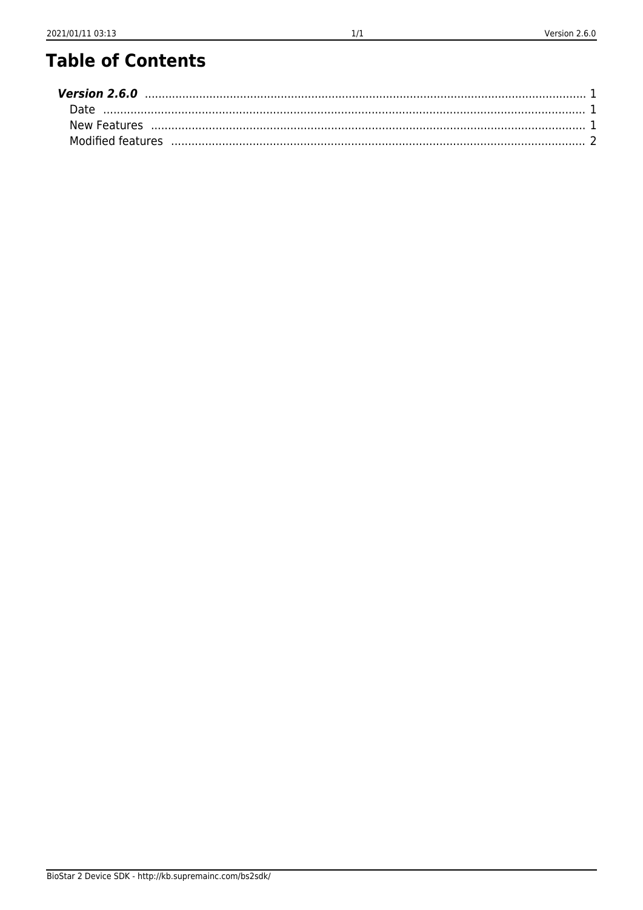# **Table of Contents**

| Version 2.6.0 |  |
|---------------|--|
|               |  |
|               |  |
|               |  |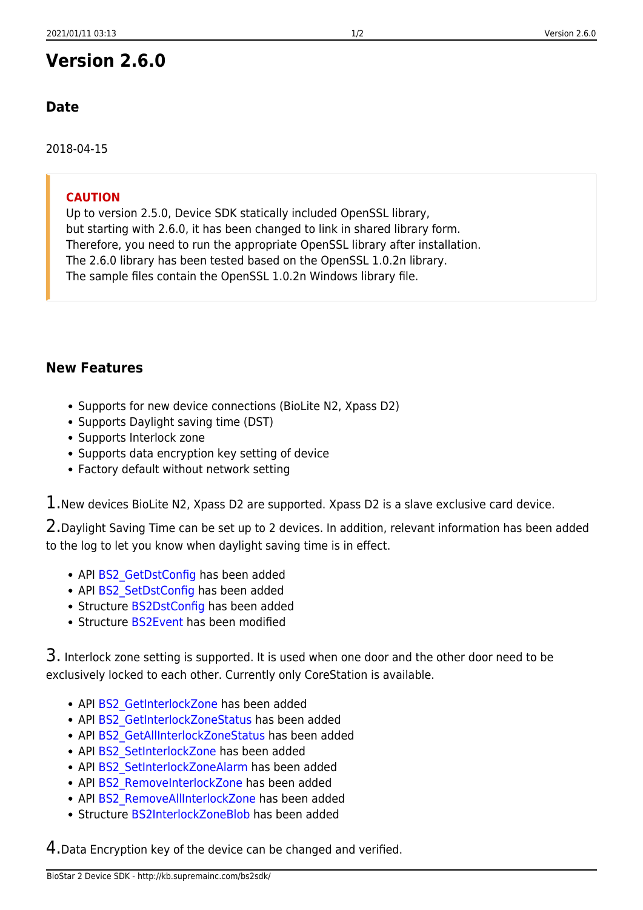# <span id="page-1-0"></span>**Version 2.6.0**

# <span id="page-1-1"></span>**Date**

2018-04-15

#### **CAUTION**

Up to version 2.5.0, Device SDK statically included OpenSSL library, but starting with 2.6.0, it has been changed to link in shared library form. Therefore, you need to run the appropriate OpenSSL library after installation. The 2.6.0 library has been tested based on the OpenSSL 1.0.2n library. The sample files contain the OpenSSL 1.0.2n Windows library file.

# <span id="page-1-2"></span>**New Features**

- Supports for new device connections (BioLite N2, Xpass D2)
- Supports Daylight saving time (DST)
- Supports Interlock zone
- Supports data encryption key setting of device
- Factory default without network setting

 $1.$ New devices BioLite N2, Xpass D2 are supported. Xpass D2 is a slave exclusive card device.

2.Daylight Saving Time can be set up to 2 devices. In addition, relevant information has been added to the log to let you know when daylight saving time is in effect.

- API BS2 GetDstConfig has been added
- API BS2 SetDstConfig has been added
- Structure [BS2DstConfig](http://kb.supremainc.com/bs2sdk/doku.php?id=en:configuration_api#bs2dstconfig) has been added
- Structure [BS2Event](http://kb.supremainc.com/bs2sdk/doku.php?id=en:log_management_api#bs2event) has been modified

3. Interlock zone setting is supported. It is used when one door and the other door need to be exclusively locked to each other. Currently only CoreStation is available.

- API BS2 GetInterlockZone has been added
- API BS2 GetInterlockZoneStatus has been added
- API BS2 GetAllInterlockZoneStatus has been added
- API BS2 SetInterlockZone has been added
- API BS2 SetInterlockZoneAlarm has been added
- API BS2 RemoveInterlockZone has been added
- API BS2 RemoveAllInterlockZone has been added
- Structure [BS2InterlockZoneBlob](http://kb.supremainc.com/bs2sdk/doku.php?id=en:zone_control_api#bs2interlockzoneblob) has been added

4.Data Encryption key of the device can be changed and verified.